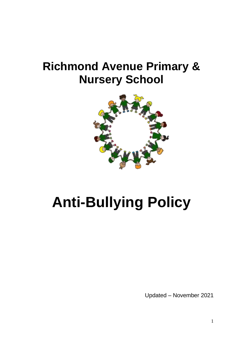## **Richmond Avenue Primary & Nursery School**



# **Anti-Bullying Policy**

Updated – November 2021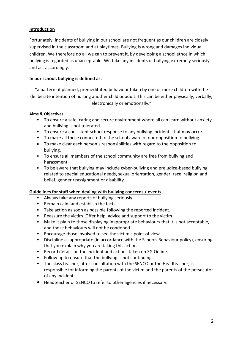#### **Introduction**

Fortunately, incidents of bullying in our school are not frequent as our children are closely supervised in the classroom and at playtimes. Bullying is wrong and damages individual children. We therefore do all we can to prevent it, by developing a school ethos in which bullying is regarded as unacceptable. We take any incidents of bullying extremely seriously and act accordingly.

### **In our school, bullying is defined as:**

"a pattern of planned, premeditated behaviour taken by one or more children with the deliberate intention of hurting another child or adult. This can be either physically, verbally, electronically or emotionally."

#### **Aims & Objectives**

- To ensure a safe, caring and secure environment where all can learn without anxiety and bullying is not tolerated.
- To ensure a consistent school response to any bullying incidents that may occur.
- To make all those connected to the school aware of our opposition to bullying.
- To make clear each person's responsibilities with regard to the opposition to bullying.
- To ensure all members of the school community are free from bullying and harassment
- To be aware that bullying may include cyber-bullying and prejudice-based bullying related to special educational needs, sexual orientation, gender, race, religion and belief, gender reassignment or disability

#### **Guidelines for staff when dealing with bullying concerns / events**

- Always take any reports of bullying seriously.
- Remain calm and establish the facts.
- Take action as soon as possible following the reported incident.
- Reassure the victim. Offer help, advice and support to the victim.
- Make it plain to those displaying inappropriate behaviours that it is not acceptable, and those behaviours will not be condoned.
- Encourage those involved to see the victim's point of view.
- Discipline as appropriate (in accordance with the Schools Behaviour policy), ensuring that you explain why you are taking this action.
- Record details on the incident and actions taken on SG Online.
- Follow up to ensure that the bullying is not continuing.
- The class teacher, after consultation with the SENCO or the Headteacher, is responsible for informing the parents of the victim and the parents of the persecutor of any incidents.
- Headteacher or SENCO to refer to other agencies if necessary.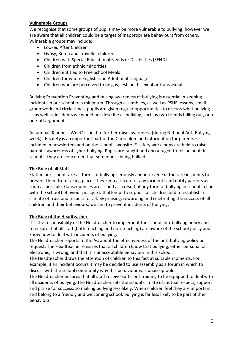#### **Vulnerable Groups**

We recognise that some groups of pupils may be more vulnerable to bullying, however we are aware that all children could be a target of inappropriate behaviours from others. Vulnerable groups may include:

- Looked After Children
- Gypsy, Roma and Traveller children
- Children with Special Educational Needs or Disabilities (SEND)
- Children from ethnic minorities
- Children entitled to Free School Meals
- Children for whom English is an Additional Language
- Children who are perceived to be gay, lesbian, bisexual or transsexual

Bullying Prevention Preventing and raising awareness of bullying is essential in keeping incidents in our school to a minimum. Through assemblies, as well as PSHE lessons, small group work and circle times, pupils are given regular opportunities to discuss what bullying is, as well as incidents we would not describe as bullying, such as two friends falling out, or a one-off argument.

An annual 'Kindness Week' is held to further raise awareness (during National Anti-Bullying week). E-safety is an important part of the Curriculum and information for parents is included in newsletters and on the school's website. E-safety workshops are held to raise parents' awareness of cyber-bullying. Pupils are taught and encouraged to tell an adult in school if they are concerned that someone is being bullied.

#### **The Role of all Staff**

Staff in our school take all forms of bullying seriously and intervene in the rare incidents to prevent them from taking place. They keep a record of any incidents and notify parents as soon as possible. Consequences are issued as a result of any form of bullying in school in line with the school behaviour policy. Staff attempt to support all children and to establish a climate of trust and respect for all. By praising, rewarding and celebrating the success of all children and their behaviours, we aim to prevent incidents of bullying.

#### **The Role of the Headteacher**

It is the responsibility of the Headteacher to implement the school anti-bullying policy and to ensure that all staff (both teaching and non-teaching) are aware of the school policy and know how to deal with incidents of bullying.

The Headteacher reports to the AC about the effectiveness of the anti-bullying policy on request. The Headteacher ensures that all children know that bullying, either personal or electronic, is wrong, and that it is unacceptable behaviour in this school.

The Headteacher draws the attention of children to this fact at suitable moments. For example, if an incident occurs it may be decided to use assembly as a forum in which to discuss with the school community why this behaviour was unacceptable.

The Headteacher ensures that all staff receive sufficient training to be equipped to deal with all incidents of bullying. The Headteacher sets the school climate of mutual respect, support and praise for success, so making bullying less likely. When children feel they are important and belong to a friendly and welcoming school, bullying is far less likely to be part of their behaviour.